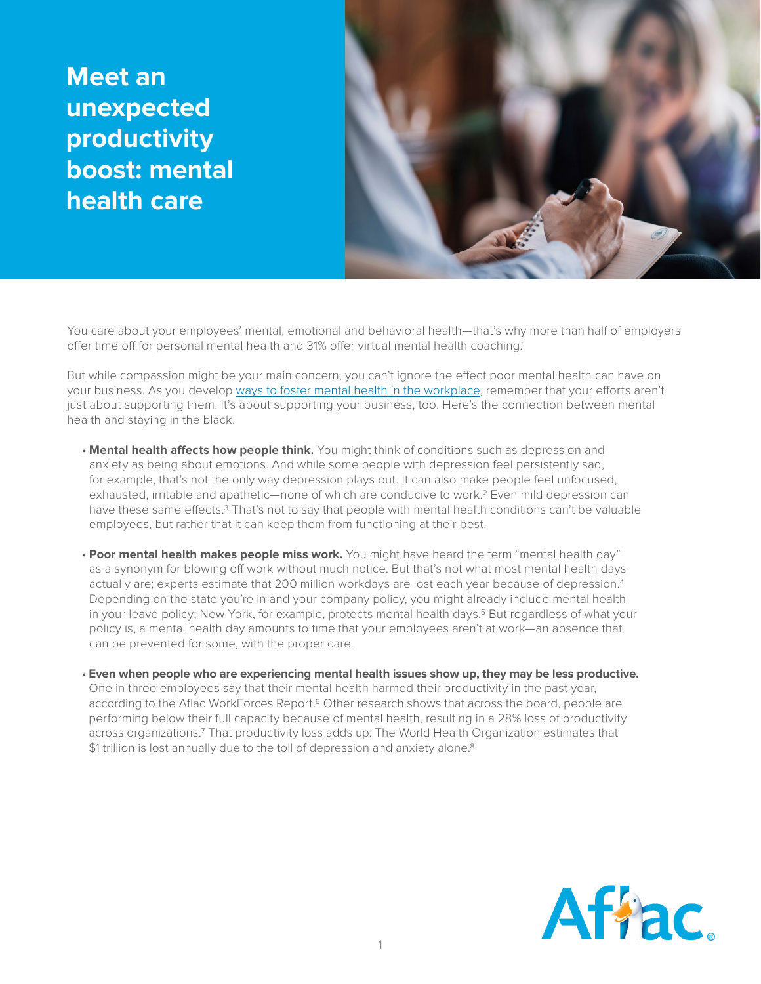**Meet an unexpected productivity boost: mental health care**



You care about your employees' mental, emotional and behavioral health—that's why more than half of employers offer time off for personal mental health and 31% offer virtual mental health coaching.1

But while compassion might be your main concern, you can't ignore the effect poor mental health can have on your business. As you develop [ways to foster mental health in the workplace](https://www.aflac.com/business/resources/articles/10-ways-to-help-support-employee-mental-health-in-the-workplace.aspx), remember that your efforts aren't just about supporting them. It's about supporting your business, too. Here's the connection between mental health and staying in the black.

- **Mental health affects how people think.** You might think of conditions such as depression and anxiety as being about emotions. And while some people with depression feel persistently sad, for example, that's not the only way depression plays out. It can also make people feel unfocused, exhausted, irritable and apathetic—none of which are conducive to work.2 Even mild depression can have these same effects.<sup>3</sup> That's not to say that people with mental health conditions can't be valuable employees, but rather that it can keep them from functioning at their best.
- **Poor mental health makes people miss work.** You might have heard the term "mental health day" as a synonym for blowing off work without much notice. But that's not what most mental health days actually are; experts estimate that 200 million workdays are lost each year because of depression.4 Depending on the state you're in and your company policy, you might already include mental health in your leave policy; New York, for example, protects mental health days.5 But regardless of what your policy is, a mental health day amounts to time that your employees aren't at work—an absence that can be prevented for some, with the proper care.
- **Even when people who are experiencing mental health issues show up, they may be less productive.**  One in three employees say that their mental health harmed their productivity in the past year, according to the Aflac WorkForces Report.<sup>6</sup> Other research shows that across the board, people are performing below their full capacity because of mental health, resulting in a 28% loss of productivity across organizations.7 That productivity loss adds up: The World Health Organization estimates that \$1 trillion is lost annually due to the toll of depression and anxiety alone.<sup>8</sup>